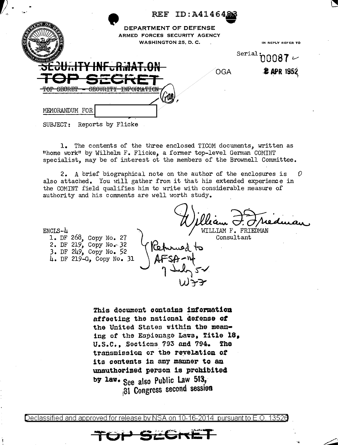| ۰.,                                                                     |                                                                                      | REF ID: A4146488 |                                                      |
|-------------------------------------------------------------------------|--------------------------------------------------------------------------------------|------------------|------------------------------------------------------|
|                                                                         | DEPARTMENT OF DEFENSE<br>ARMED FORCES SECURITY AGENCY<br><b>WASHINGTON 25, D. C.</b> |                  | IN REPLY REFER TO                                    |
| ATES 0                                                                  | <del>éculity infurmat.on</del><br><u> The State Way of the State </u>                | <b>OGA</b>       | $^{\text{Serial}}$ 00087 $\sim$<br><b>2 APR 1952</b> |
| mon cranta<br>CROTID TAU<br>nnnnn<br><u>UBUULLI I</u><br>MEMORANDUM FOR | <b>TNER ODMA FRONT</b>                                                               |                  |                                                      |

SUBJECT: Reports by Flicke

1. The contents of the three enclosed TICOM documents, written as "home work" by Wilhelm F. Flicke, a former top-level German COMINT specialist, may be of interest ot the members of the Brownell Committee.

2. A brief biographical note on the author of the enclosures is 0 also attached. You will gather from it that his extended experience in the COMINT field qualifies him to write with considerable measure of authority and his comments are well worth study.

WILLIAM F. FRIEDMAN

 $ENCIS-L$ 

1. DF 268, Copy No. 27<br>2. DF 219, Copy No. 32 3. DF 249, Copy No. 52 4. DF 219-G, Copy No. 31 Consultant

This document contains information affecting the national defense of the United States within the meaning of the Espionage Laws, Title 18. U.S.C., Sections 793 and 794. **The** transmission or the revelation of its contents in any manner to an unauthorized person is prohibited by law. See also Public Law 513, 31 Congress second session

Declassified and approved for release.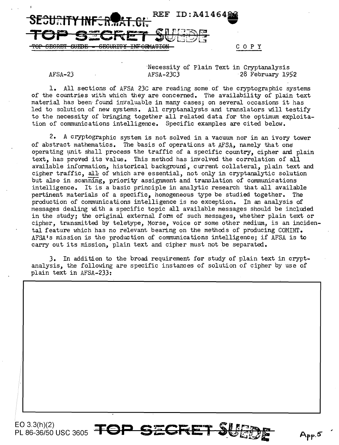

Necessity of Plain Text in Cryptanalysis<br>AFSA-23C3 28 February 19 AFSA-23 AFSA-23C3 28 February 1952

1. All sections of AFSA 23C are reading some of the cryptographic systems of the countries with which they are concerned. The availability of plain text material has been· found invaluable in many cases; on several occasions it has led to solution of new systems. All cryptanalysts and translators will testify to the necessity of bringing together all related data for the optimum exploitation of communications intelligence. Specific examples are cited below.

2. A cryptographic system is not solved in a vacuum nor in an ivory tower of abstract mathematics. The basis of operations at AFSA, namely that one operating unit shall process the traffic of a specific country, cipher and plain text, has proved its value. This method has involved the correlation of all available information, historical background, current collateral, plain text and cipher traffic, al1 of which are essential, not only in cryptanalytic solution but also in scanning, priority assignment and translation of communications intelligence. It is a basic principle in analytic research that all available pertinent materials of a specific, homogeneous type be studied together. The production of communications intelligence is no exception. In an analysis of messages dealing with a specific topic all available messages should be included in the study; the original external form of such messages, whether plain text or cipher, transmitted by teletype, Morse, voice or some other medium, is an incidental feature which has no relevant bearing on the methods of producing COMINT. AFSA's mission is the production of conununications intelligence; if AFSA is to carry out its mission, plain text and cipher must not be separated.

3. In addition to the broad requirement for study of plain text in cryptanalysis, the following are specific instances of solution of cipher by use of plain text in AFSA-233: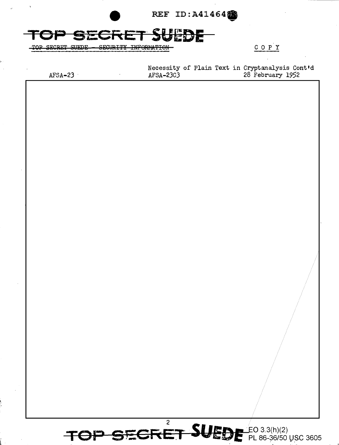

**SECRET SUEDE SECURITY INFORMATION** TQP

 $C$   $O$   $P$   $Y$ 

 $AFSA-23$  $\cdot$ 

Necessity of Plain Text in Cryptanalysis Cont'd<br>AFSA-23C3 28 February 1952

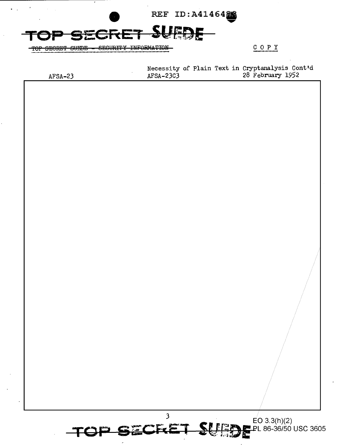REF ID: A4146488

SECURITY INFORMATION

COPY

 $AFSA-23$ 

TOP SECRET SUEDE

 $\ddot{\phantom{a}}$ 

Necessity of Plain Text in Cryptanalysis Cont'd<br>AFSA-23C3 28 February 1952  $AFSA-23C3$ 



TOP SECRE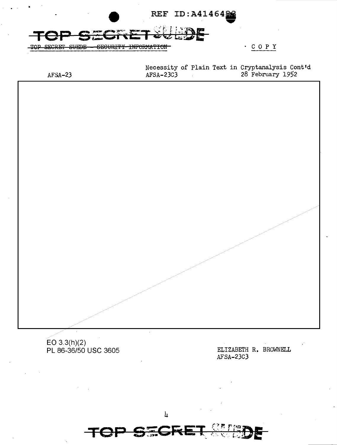

AFSA-23C3

**TOP**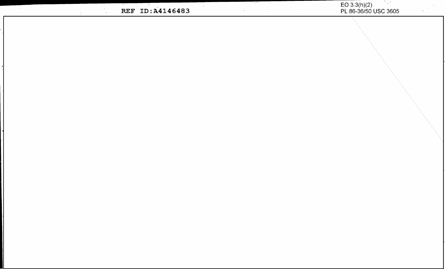EO 3.3(h)(2)<br>PL 86-36/50 USC 3605 <u> Termin de la propincia de la propincia de la propincia de la propincia de la propincia de la propincia de la</u> REF ID: A4146483  $\mathcal{L}_{\mathcal{A}}$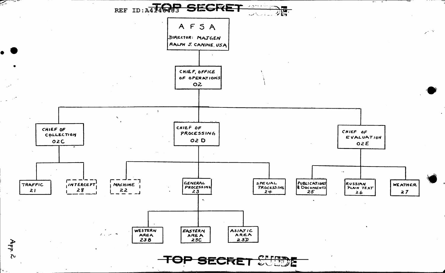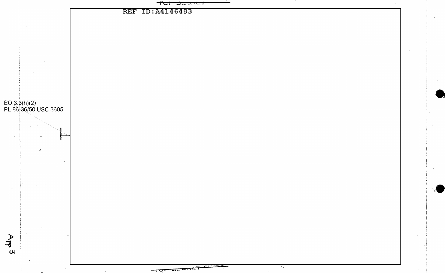<del>است در در ق</del> t<del>ur</del> **REF ID: A4146483** EO 3.3(h)(2)<br>PL 86-36/50 USC 3605  $\sim$  $App3$  $\omega_{\rm 2}$  $\lambda$